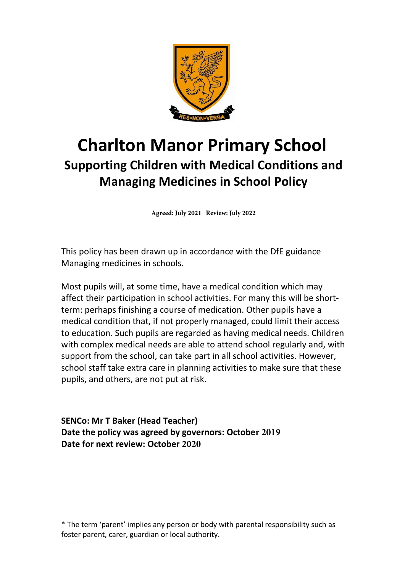

# **Charlton Manor Primary School Supporting Children with Medical Conditions and Managing Medicines in School Policy**

**Agreed: July 2021 Review: July 2022**

This policy has been drawn up in accordance with the DfE guidance Managing medicines in schools.

Most pupils will, at some time, have a medical condition which may affect their participation in school activities. For many this will be shortterm: perhaps finishing a course of medication. Other pupils have a medical condition that, if not properly managed, could limit their access to education. Such pupils are regarded as having medical needs. Children with complex medical needs are able to attend school regularly and, with support from the school, can take part in all school activities. However, school staff take extra care in planning activities to make sure that these pupils, and others, are not put at risk.

**SENCo: Mr T Baker (Head Teacher) Date the policy was agreed by governors: October 2019 Date for next review: October 2020**

\* The term 'parent' implies any person or body with parental responsibility such as foster parent, carer, guardian or local authority.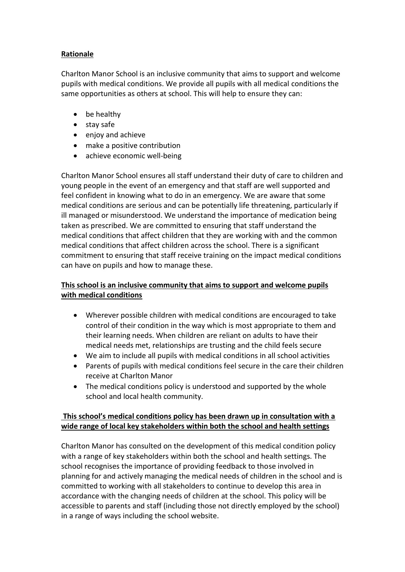# **Rationale**

Charlton Manor School is an inclusive community that aims to support and welcome pupils with medical conditions. We provide all pupils with all medical conditions the same opportunities as others at school. This will help to ensure they can:

- be healthy
- stay safe
- enjoy and achieve
- make a positive contribution
- achieve economic well-being

Charlton Manor School ensures all staff understand their duty of care to children and young people in the event of an emergency and that staff are well supported and feel confident in knowing what to do in an emergency. We are aware that some medical conditions are serious and can be potentially life threatening, particularly if ill managed or misunderstood. We understand the importance of medication being taken as prescribed. We are committed to ensuring that staff understand the medical conditions that affect children that they are working with and the common medical conditions that affect children across the school. There is a significant commitment to ensuring that staff receive training on the impact medical conditions can have on pupils and how to manage these.

# **This school is an inclusive community that aims to support and welcome pupils with medical conditions**

- Wherever possible children with medical conditions are encouraged to take control of their condition in the way which is most appropriate to them and their learning needs. When children are reliant on adults to have their medical needs met, relationships are trusting and the child feels secure
- We aim to include all pupils with medical conditions in all school activities
- Parents of pupils with medical conditions feel secure in the care their children receive at Charlton Manor
- The medical conditions policy is understood and supported by the whole school and local health community.

# **This school's medical conditions policy has been drawn up in consultation with a wide range of local key stakeholders within both the school and health settings**

Charlton Manor has consulted on the development of this medical condition policy with a range of key stakeholders within both the school and health settings. The school recognises the importance of providing feedback to those involved in planning for and actively managing the medical needs of children in the school and is committed to working with all stakeholders to continue to develop this area in accordance with the changing needs of children at the school. This policy will be accessible to parents and staff (including those not directly employed by the school) in a range of ways including the school website.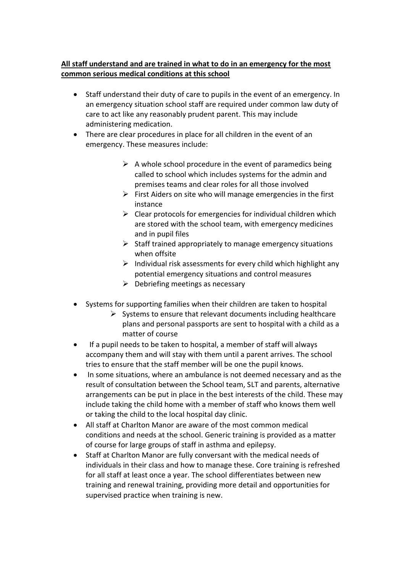# **All staff understand and are trained in what to do in an emergency for the most common serious medical conditions at this school**

- Staff understand their duty of care to pupils in the event of an emergency. In an emergency situation school staff are required under common law duty of care to act like any reasonably prudent parent. This may include administering medication.
- There are clear procedures in place for all children in the event of an emergency. These measures include:
	- $\triangleright$  A whole school procedure in the event of paramedics being called to school which includes systems for the admin and premises teams and clear roles for all those involved
	- $\triangleright$  First Aiders on site who will manage emergencies in the first instance
	- $\triangleright$  Clear protocols for emergencies for individual children which are stored with the school team, with emergency medicines and in pupil files
	- $\triangleright$  Staff trained appropriately to manage emergency situations when offsite
	- $\triangleright$  Individual risk assessments for every child which highlight any potential emergency situations and control measures
	- $\triangleright$  Debriefing meetings as necessary
- Systems for supporting families when their children are taken to hospital
	- $\triangleright$  Systems to ensure that relevant documents including healthcare plans and personal passports are sent to hospital with a child as a matter of course
- If a pupil needs to be taken to hospital, a member of staff will always accompany them and will stay with them until a parent arrives. The school tries to ensure that the staff member will be one the pupil knows.
- In some situations, where an ambulance is not deemed necessary and as the result of consultation between the School team, SLT and parents, alternative arrangements can be put in place in the best interests of the child. These may include taking the child home with a member of staff who knows them well or taking the child to the local hospital day clinic.
- All staff at Charlton Manor are aware of the most common medical conditions and needs at the school. Generic training is provided as a matter of course for large groups of staff in asthma and epilepsy.
- Staff at Charlton Manor are fully conversant with the medical needs of individuals in their class and how to manage these. Core training is refreshed for all staff at least once a year. The school differentiates between new training and renewal training, providing more detail and opportunities for supervised practice when training is new.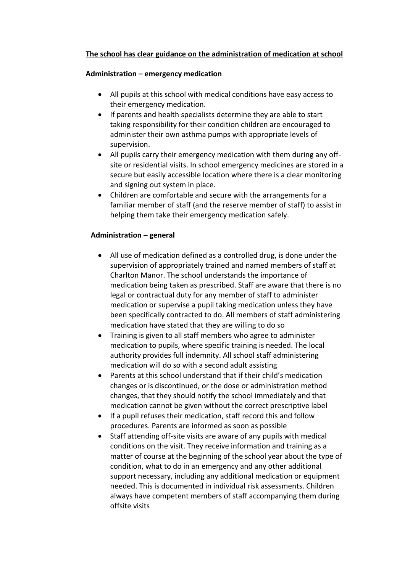## **The school has clear guidance on the administration of medication at school**

#### **Administration – emergency medication**

- All pupils at this school with medical conditions have easy access to their emergency medication.
- If parents and health specialists determine they are able to start taking responsibility for their condition children are encouraged to administer their own asthma pumps with appropriate levels of supervision.
- All pupils carry their emergency medication with them during any offsite or residential visits. In school emergency medicines are stored in a secure but easily accessible location where there is a clear monitoring and signing out system in place.
- Children are comfortable and secure with the arrangements for a familiar member of staff (and the reserve member of staff) to assist in helping them take their emergency medication safely.

## **Administration – general**

- All use of medication defined as a controlled drug, is done under the supervision of appropriately trained and named members of staff at Charlton Manor. The school understands the importance of medication being taken as prescribed. Staff are aware that there is no legal or contractual duty for any member of staff to administer medication or supervise a pupil taking medication unless they have been specifically contracted to do. All members of staff administering medication have stated that they are willing to do so
- Training is given to all staff members who agree to administer medication to pupils, where specific training is needed. The local authority provides full indemnity. All school staff administering medication will do so with a second adult assisting
- Parents at this school understand that if their child's medication changes or is discontinued, or the dose or administration method changes, that they should notify the school immediately and that medication cannot be given without the correct prescriptive label
- If a pupil refuses their medication, staff record this and follow procedures. Parents are informed as soon as possible
- Staff attending off-site visits are aware of any pupils with medical conditions on the visit. They receive information and training as a matter of course at the beginning of the school year about the type of condition, what to do in an emergency and any other additional support necessary, including any additional medication or equipment needed. This is documented in individual risk assessments. Children always have competent members of staff accompanying them during offsite visits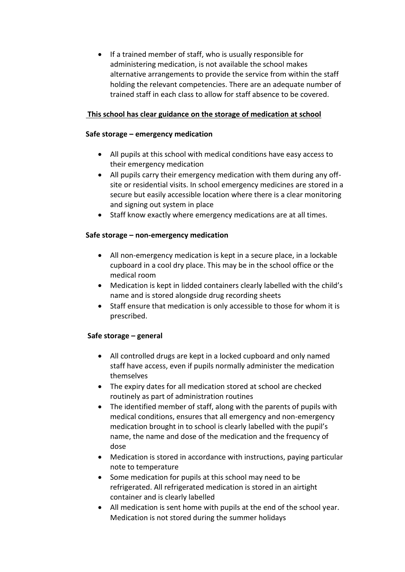• If a trained member of staff, who is usually responsible for administering medication, is not available the school makes alternative arrangements to provide the service from within the staff holding the relevant competencies. There are an adequate number of trained staff in each class to allow for staff absence to be covered.

## **This school has clear guidance on the storage of medication at school**

#### **Safe storage – emergency medication**

- All pupils at this school with medical conditions have easy access to their emergency medication
- All pupils carry their emergency medication with them during any offsite or residential visits. In school emergency medicines are stored in a secure but easily accessible location where there is a clear monitoring and signing out system in place
- Staff know exactly where emergency medications are at all times.

## **Safe storage – non-emergency medication**

- All non-emergency medication is kept in a secure place, in a lockable cupboard in a cool dry place. This may be in the school office or the medical room
- Medication is kept in lidded containers clearly labelled with the child's name and is stored alongside drug recording sheets
- Staff ensure that medication is only accessible to those for whom it is prescribed.

#### **Safe storage – general**

- All controlled drugs are kept in a locked cupboard and only named staff have access, even if pupils normally administer the medication themselves
- The expiry dates for all medication stored at school are checked routinely as part of administration routines
- The identified member of staff, along with the parents of pupils with medical conditions, ensures that all emergency and non-emergency medication brought in to school is clearly labelled with the pupil's name, the name and dose of the medication and the frequency of dose
- Medication is stored in accordance with instructions, paying particular note to temperature
- Some medication for pupils at this school may need to be refrigerated. All refrigerated medication is stored in an airtight container and is clearly labelled
- All medication is sent home with pupils at the end of the school year. Medication is not stored during the summer holidays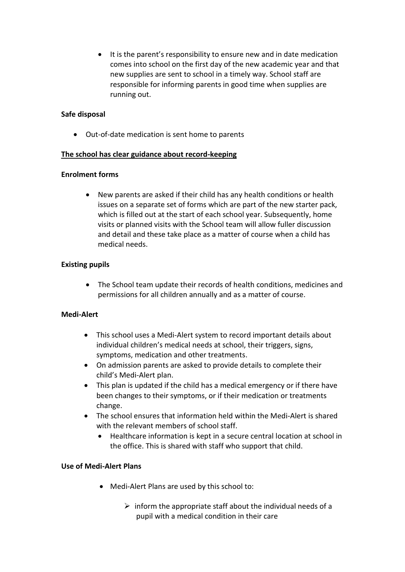It is the parent's responsibility to ensure new and in date medication comes into school on the first day of the new academic year and that new supplies are sent to school in a timely way. School staff are responsible for informing parents in good time when supplies are running out.

#### **Safe disposal**

Out-of-date medication is sent home to parents

#### **The school has clear guidance about record-keeping**

#### **Enrolment forms**

 New parents are asked if their child has any health conditions or health issues on a separate set of forms which are part of the new starter pack, which is filled out at the start of each school year. Subsequently, home visits or planned visits with the School team will allow fuller discussion and detail and these take place as a matter of course when a child has medical needs.

#### **Existing pupils**

 The School team update their records of health conditions, medicines and permissions for all children annually and as a matter of course.

#### **Medi-Alert**

- This school uses a Medi-Alert system to record important details about individual children's medical needs at school, their triggers, signs, symptoms, medication and other treatments.
- On admission parents are asked to provide details to complete their child's Medi-Alert plan.
- This plan is updated if the child has a medical emergency or if there have been changes to their symptoms, or if their medication or treatments change.
- The school ensures that information held within the Medi-Alert is shared with the relevant members of school staff.
	- Healthcare information is kept in a secure central location at school in the office. This is shared with staff who support that child.

#### **Use of Medi-Alert Plans**

- Medi-Alert Plans are used by this school to:
	- $\triangleright$  inform the appropriate staff about the individual needs of a pupil with a medical condition in their care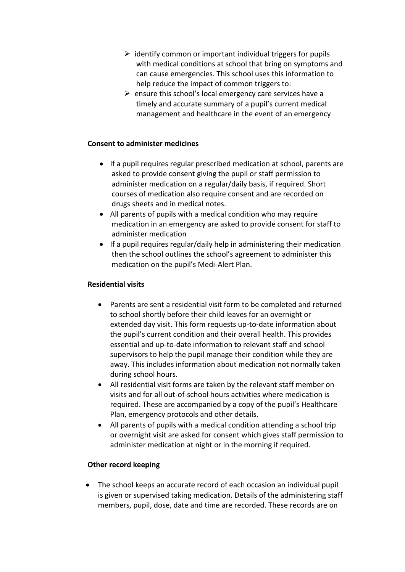- $\triangleright$  identify common or important individual triggers for pupils with medical conditions at school that bring on symptoms and can cause emergencies. This school uses this information to help reduce the impact of common triggers to:
- $\triangleright$  ensure this school's local emergency care services have a timely and accurate summary of a pupil's current medical management and healthcare in the event of an emergency

#### **Consent to administer medicines**

- If a pupil requires regular prescribed medication at school, parents are asked to provide consent giving the pupil or staff permission to administer medication on a regular/daily basis, if required. Short courses of medication also require consent and are recorded on drugs sheets and in medical notes.
- All parents of pupils with a medical condition who may require medication in an emergency are asked to provide consent for staff to administer medication
- If a pupil requires regular/daily help in administering their medication then the school outlines the school's agreement to administer this medication on the pupil's Medi-Alert Plan.

#### **Residential visits**

- Parents are sent a residential visit form to be completed and returned to school shortly before their child leaves for an overnight or extended day visit. This form requests up-to-date information about the pupil's current condition and their overall health. This provides essential and up-to-date information to relevant staff and school supervisors to help the pupil manage their condition while they are away. This includes information about medication not normally taken during school hours.
- All residential visit forms are taken by the relevant staff member on visits and for all out-of-school hours activities where medication is required. These are accompanied by a copy of the pupil's Healthcare Plan, emergency protocols and other details.
- All parents of pupils with a medical condition attending a school trip or overnight visit are asked for consent which gives staff permission to administer medication at night or in the morning if required.

#### **Other record keeping**

 The school keeps an accurate record of each occasion an individual pupil is given or supervised taking medication. Details of the administering staff members, pupil, dose, date and time are recorded. These records are on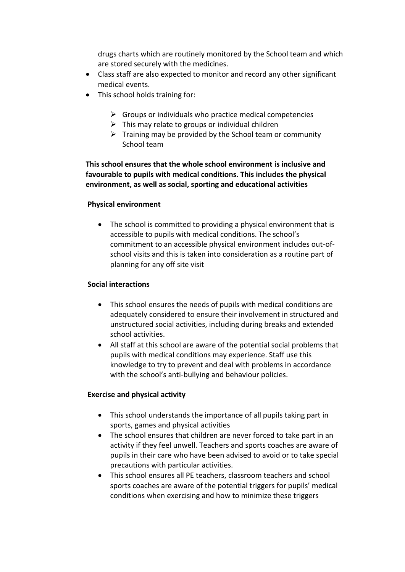drugs charts which are routinely monitored by the School team and which are stored securely with the medicines.

- Class staff are also expected to monitor and record any other significant medical events.
- This school holds training for:
	- $\triangleright$  Groups or individuals who practice medical competencies
	- $\triangleright$  This may relate to groups or individual children
	- $\triangleright$  Training may be provided by the School team or community School team

**This school ensures that the whole school environment is inclusive and favourable to pupils with medical conditions. This includes the physical environment, as well as social, sporting and educational activities**

#### **Physical environment**

• The school is committed to providing a physical environment that is accessible to pupils with medical conditions. The school's commitment to an accessible physical environment includes out-ofschool visits and this is taken into consideration as a routine part of planning for any off site visit

#### **Social interactions**

- This school ensures the needs of pupils with medical conditions are adequately considered to ensure their involvement in structured and unstructured social activities, including during breaks and extended school activities.
- All staff at this school are aware of the potential social problems that pupils with medical conditions may experience. Staff use this knowledge to try to prevent and deal with problems in accordance with the school's anti-bullying and behaviour policies.

#### **Exercise and physical activity**

- This school understands the importance of all pupils taking part in sports, games and physical activities
- The school ensures that children are never forced to take part in an activity if they feel unwell. Teachers and sports coaches are aware of pupils in their care who have been advised to avoid or to take special precautions with particular activities.
- This school ensures all PE teachers, classroom teachers and school sports coaches are aware of the potential triggers for pupils' medical conditions when exercising and how to minimize these triggers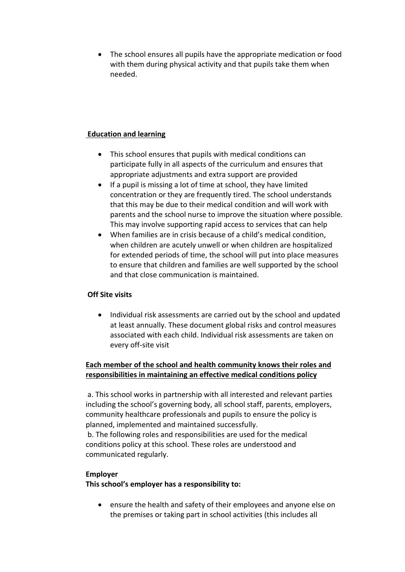The school ensures all pupils have the appropriate medication or food with them during physical activity and that pupils take them when needed.

## **Education and learning**

- This school ensures that pupils with medical conditions can participate fully in all aspects of the curriculum and ensures that appropriate adjustments and extra support are provided
- If a pupil is missing a lot of time at school, they have limited concentration or they are frequently tired. The school understands that this may be due to their medical condition and will work with parents and the school nurse to improve the situation where possible. This may involve supporting rapid access to services that can help
- When families are in crisis because of a child's medical condition, when children are acutely unwell or when children are hospitalized for extended periods of time, the school will put into place measures to ensure that children and families are well supported by the school and that close communication is maintained.

## **Off Site visits**

• Individual risk assessments are carried out by the school and updated at least annually. These document global risks and control measures associated with each child. Individual risk assessments are taken on every off-site visit

# **Each member of the school and health community knows their roles and responsibilities in maintaining an effective medical conditions policy**

a. This school works in partnership with all interested and relevant parties including the school's governing body, all school staff, parents, employers, community healthcare professionals and pupils to ensure the policy is planned, implemented and maintained successfully.

b. The following roles and responsibilities are used for the medical conditions policy at this school. These roles are understood and communicated regularly.

## **Employer**

**This school's employer has a responsibility to:**

 ensure the health and safety of their employees and anyone else on the premises or taking part in school activities (this includes all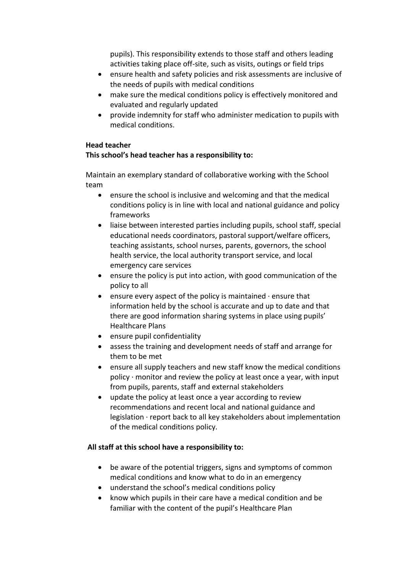pupils). This responsibility extends to those staff and others leading activities taking place off-site, such as visits, outings or field trips

- ensure health and safety policies and risk assessments are inclusive of the needs of pupils with medical conditions
- make sure the medical conditions policy is effectively monitored and evaluated and regularly updated
- provide indemnity for staff who administer medication to pupils with medical conditions.

#### **Head teacher**

## **This school's head teacher has a responsibility to:**

Maintain an exemplary standard of collaborative working with the School team

- ensure the school is inclusive and welcoming and that the medical conditions policy is in line with local and national guidance and policy frameworks
- liaise between interested parties including pupils, school staff, special educational needs coordinators, pastoral support/welfare officers, teaching assistants, school nurses, parents, governors, the school health service, the local authority transport service, and local emergency care services
- ensure the policy is put into action, with good communication of the policy to all
- **e** ensure every aspect of the policy is maintained  $\cdot$  ensure that information held by the school is accurate and up to date and that there are good information sharing systems in place using pupils' Healthcare Plans
- ensure pupil confidentiality
- assess the training and development needs of staff and arrange for them to be met
- ensure all supply teachers and new staff know the medical conditions policy  $\cdot$  monitor and review the policy at least once a year, with input from pupils, parents, staff and external stakeholders
- update the policy at least once a year according to review recommendations and recent local and national guidance and legislation · report back to all key stakeholders about implementation of the medical conditions policy.

## **All staff at this school have a responsibility to:**

- be aware of the potential triggers, signs and symptoms of common medical conditions and know what to do in an emergency
- understand the school's medical conditions policy
- know which pupils in their care have a medical condition and be familiar with the content of the pupil's Healthcare Plan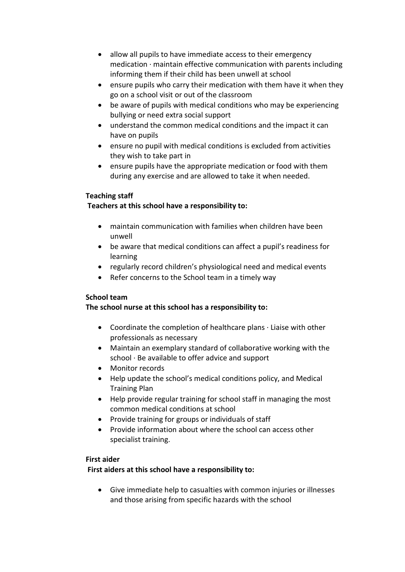- allow all pupils to have immediate access to their emergency medication · maintain effective communication with parents including informing them if their child has been unwell at school
- ensure pupils who carry their medication with them have it when they go on a school visit or out of the classroom
- be aware of pupils with medical conditions who may be experiencing bullying or need extra social support
- understand the common medical conditions and the impact it can have on pupils
- ensure no pupil with medical conditions is excluded from activities they wish to take part in
- ensure pupils have the appropriate medication or food with them during any exercise and are allowed to take it when needed.

## **Teaching staff**

## **Teachers at this school have a responsibility to:**

- maintain communication with families when children have been unwell
- be aware that medical conditions can affect a pupil's readiness for learning
- regularly record children's physiological need and medical events
- Refer concerns to the School team in a timely way

## **School team**

# **The school nurse at this school has a responsibility to:**

- Coordinate the completion of healthcare plans · Liaise with other professionals as necessary
- Maintain an exemplary standard of collaborative working with the school  $\cdot$  Be available to offer advice and support
- Monitor records
- Help update the school's medical conditions policy, and Medical Training Plan
- Help provide regular training for school staff in managing the most common medical conditions at school
- Provide training for groups or individuals of staff
- Provide information about where the school can access other specialist training.

## **First aider**

## **First aiders at this school have a responsibility to:**

 Give immediate help to casualties with common injuries or illnesses and those arising from specific hazards with the school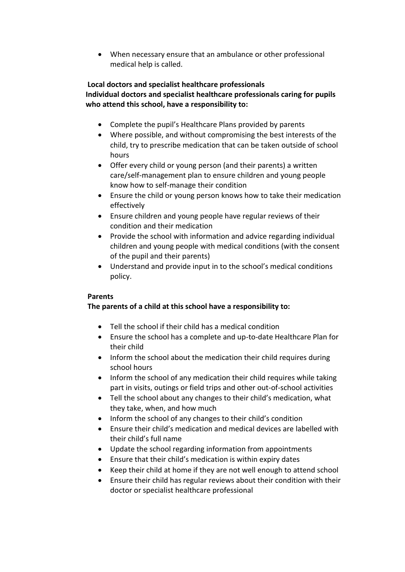When necessary ensure that an ambulance or other professional medical help is called.

# **Local doctors and specialist healthcare professionals Individual doctors and specialist healthcare professionals caring for pupils who attend this school, have a responsibility to:**

- Complete the pupil's Healthcare Plans provided by parents
- Where possible, and without compromising the best interests of the child, try to prescribe medication that can be taken outside of school hours
- Offer every child or young person (and their parents) a written care/self-management plan to ensure children and young people know how to self-manage their condition
- Ensure the child or young person knows how to take their medication effectively
- Ensure children and young people have regular reviews of their condition and their medication
- Provide the school with information and advice regarding individual children and young people with medical conditions (with the consent of the pupil and their parents)
- Understand and provide input in to the school's medical conditions policy.

# **Parents**

# **The parents of a child at this school have a responsibility to:**

- Tell the school if their child has a medical condition
- Ensure the school has a complete and up-to-date Healthcare Plan for their child
- Inform the school about the medication their child requires during school hours
- Inform the school of any medication their child requires while taking part in visits, outings or field trips and other out-of-school activities
- Tell the school about any changes to their child's medication, what they take, when, and how much
- Inform the school of any changes to their child's condition
- Ensure their child's medication and medical devices are labelled with their child's full name
- Update the school regarding information from appointments
- Ensure that their child's medication is within expiry dates
- Keep their child at home if they are not well enough to attend school
- Ensure their child has regular reviews about their condition with their doctor or specialist healthcare professional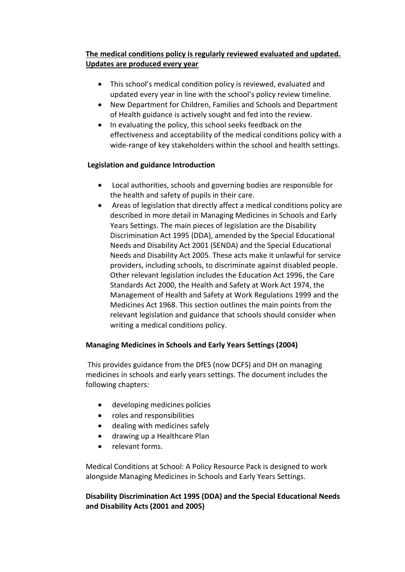# **The medical conditions policy is regularly reviewed evaluated and updated. Updates are produced every year**

- This school's medical condition policy is reviewed, evaluated and updated every year in line with the school's policy review timeline.
- New Department for Children, Families and Schools and Department of Health guidance is actively sought and fed into the review.
- In evaluating the policy, this school seeks feedback on the effectiveness and acceptability of the medical conditions policy with a wide-range of key stakeholders within the school and health settings.

# **Legislation and guidance Introduction**

- Local authorities, schools and governing bodies are responsible for the health and safety of pupils in their care.
- Areas of legislation that directly affect a medical conditions policy are described in more detail in Managing Medicines in Schools and Early Years Settings. The main pieces of legislation are the Disability Discrimination Act 1995 (DDA), amended by the Special Educational Needs and Disability Act 2001 (SENDA) and the Special Educational Needs and Disability Act 2005. These acts make it unlawful for service providers, including schools, to discriminate against disabled people. Other relevant legislation includes the Education Act 1996, the Care Standards Act 2000, the Health and Safety at Work Act 1974, the Management of Health and Safety at Work Regulations 1999 and the Medicines Act 1968. This section outlines the main points from the relevant legislation and guidance that schools should consider when writing a medical conditions policy.

## **Managing Medicines in Schools and Early Years Settings (2004)**

This provides guidance from the DfES (now DCFS) and DH on managing medicines in schools and early years settings. The document includes the following chapters:

- developing medicines policies
- roles and responsibilities
- dealing with medicines safely
- drawing up a Healthcare Plan
- relevant forms.

Medical Conditions at School: A Policy Resource Pack is designed to work alongside Managing Medicines in Schools and Early Years Settings.

# **Disability Discrimination Act 1995 (DDA) and the Special Educational Needs and Disability Acts (2001 and 2005)**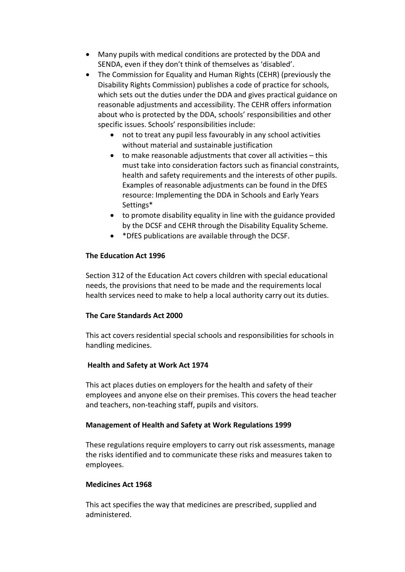- Many pupils with medical conditions are protected by the DDA and SENDA, even if they don't think of themselves as 'disabled'.
- The Commission for Equality and Human Rights (CEHR) (previously the Disability Rights Commission) publishes a code of practice for schools, which sets out the duties under the DDA and gives practical guidance on reasonable adjustments and accessibility. The CEHR offers information about who is protected by the DDA, schools' responsibilities and other specific issues. Schools' responsibilities include:
	- not to treat any pupil less favourably in any school activities without material and sustainable justification
	- to make reasonable adjustments that cover all activities this must take into consideration factors such as financial constraints, health and safety requirements and the interests of other pupils. Examples of reasonable adjustments can be found in the DfES resource: Implementing the DDA in Schools and Early Years Settings\*
	- to promote disability equality in line with the guidance provided by the DCSF and CEHR through the Disability Equality Scheme.
	- \*DfES publications are available through the DCSF.

# **The Education Act 1996**

Section 312 of the Education Act covers children with special educational needs, the provisions that need to be made and the requirements local health services need to make to help a local authority carry out its duties.

# **The Care Standards Act 2000**

This act covers residential special schools and responsibilities for schools in handling medicines.

# **Health and Safety at Work Act 1974**

This act places duties on employers for the health and safety of their employees and anyone else on their premises. This covers the head teacher and teachers, non-teaching staff, pupils and visitors.

# **Management of Health and Safety at Work Regulations 1999**

These regulations require employers to carry out risk assessments, manage the risks identified and to communicate these risks and measures taken to employees.

# **Medicines Act 1968**

This act specifies the way that medicines are prescribed, supplied and administered.